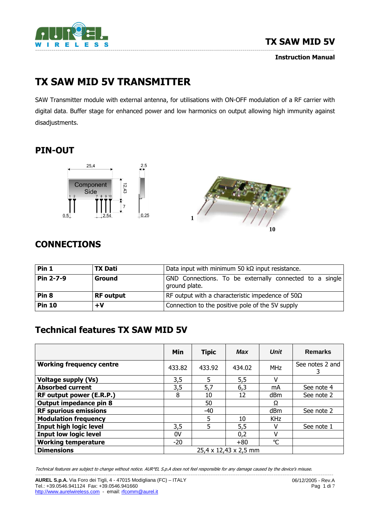

Instruction Manual

# TX SAW MID 5V TRANSMITTER

SAW Transmitter module with external antenna, for utilisations with ON-OFF modulation of a RF carrier with digital data. Buffer stage for enhanced power and low harmonics on output allowing high immunity against disadjustments.

# PIN-OUT





# **CONNECTIONS**

| Pin 1            | <b>TX Dati</b>   | Data input with minimum 50 $k\Omega$ input resistance.                   |  |  |  |  |  |
|------------------|------------------|--------------------------------------------------------------------------|--|--|--|--|--|
| Pin 2-7-9        | Ground           | GND Connections. To be externally connected to a single<br>ground plate. |  |  |  |  |  |
| Pin <sub>8</sub> | <b>RF</b> output | RF output with a characteristic impedence of $50\Omega$                  |  |  |  |  |  |
| <b>Pin 10</b>    | $+V$             | Connection to the positive pole of the 5V supply                         |  |  |  |  |  |

# Technical features TX SAW MID 5V

|                                 | Min                   | <b>Tipic</b> | Max    | <b>Unit</b>  | <b>Remarks</b>  |
|---------------------------------|-----------------------|--------------|--------|--------------|-----------------|
| <b>Working frequency centre</b> | 433.82                | 433.92       | 434.02 | <b>MHz</b>   | See notes 2 and |
| <b>Voltage supply (Vs)</b>      | 3,5                   | 5            | 5,5    | v            |                 |
| <b>Absorbed current</b>         | 3,5                   | 5,7          | 6,3    | mA           | See note 4      |
| RF output power (E.R.P.)        | 8                     | 10           | 12     | dBm          | See note 2      |
| Output impedance pin 8          |                       | 50           |        | Ω            |                 |
| <b>RF spurious emissions</b>    |                       | $-40$        |        | dBm          | See note 2      |
| <b>Modulation frequency</b>     |                       | 5            | 10     | <b>KHz</b>   |                 |
| <b>Input high logic level</b>   | 3,5                   | 5            | 5,5    | v            | See note 1      |
| <b>Input low logic level</b>    | 0V                    |              | 0,2    | ٧            |                 |
| <b>Working temperature</b>      | $-20$                 |              | $+80$  | $\mathrm{C}$ |                 |
| <b>Dimensions</b>               | 25,4 x 12,43 x 2,5 mm |              |        |              |                 |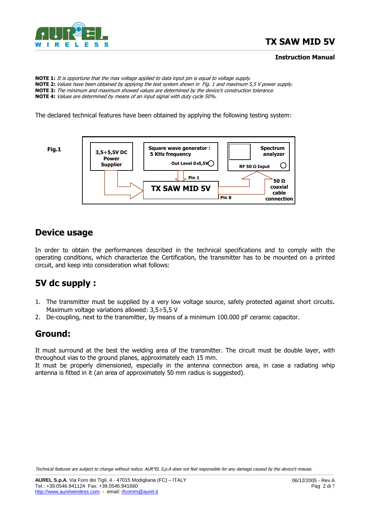

#### Instruction Manual

NOTE 1: It is opportune that the max voltage applied to data input pin is equal to voltage supply. NOTE 2: Values have been obtained by applying the test system shown in Fig. 1 and maximum 5,5 V power supply. NOTE 3: The minimum and maximum showed values are determined by the device's construction tolerance. NOTE 4: Values are determined by means of an input signal with duty cycle 50%.

The declared technical features have been obtained by applying the following testing system:



#### Device usage

In order to obtain the performances described in the technical specifications and to comply with the operating conditions, which characterize the Certification, the transmitter has to be mounted on a printed circuit, and keep into consideration what follows:

# 5V dc supply :

- 1. The transmitter must be supplied by a very low voltage source, safely protected against short circuits. Maximum voltage variations allowed: 3,5÷5,5 V
- 2. De-coupling, next to the transmitter, by means of a minimum 100.000 pF ceramic capacitor.

#### Ground:

It must surround at the best the welding area of the transmitter. The circuit must be double layer, with throughout vias to the ground planes, approximately each 15 mm.

It must be properly dimensioned, especially in the antenna connection area, in case a radiating whip antenna is fitted in it (an area of approximately 50 mm radius is suggested).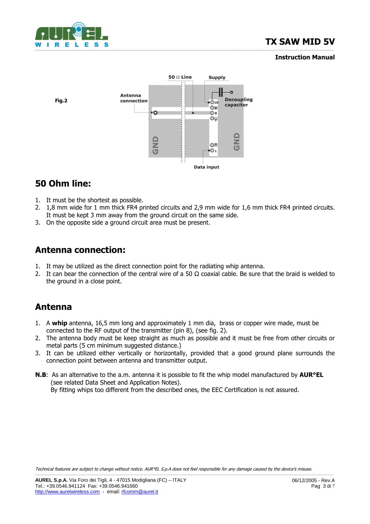

#### Instruction Manual



## 50 Ohm line:

- 1. It must be the shortest as possible.
- 2. 1,8 mm wide for 1 mm thick FR4 printed circuits and 2,9 mm wide for 1,6 mm thick FR4 printed circuits. It must be kept 3 mm away from the ground circuit on the same side.
- 3. On the opposite side a ground circuit area must be present.

### Antenna connection:

- 1. It may be utilized as the direct connection point for the radiating whip antenna.
- 2. It can bear the connection of the central wire of a 50  $\Omega$  coaxial cable. Be sure that the braid is welded to the ground in a close point.

#### Antenna

- 1. A whip antenna, 16,5 mm long and approximately 1 mm dia, brass or copper wire made, must be connected to the RF output of the transmitter (pin 8), (see fig. 2).
- 2. The antenna body must be keep straight as much as possible and it must be free from other circuits or metal parts (5 cm minimum suggested distance.)
- 3. It can be utilized either vertically or horizontally, provided that a good ground plane surrounds the connection point between antenna and transmitter output.
- **N.B:** As an alternative to the a.m. antenna it is possible to fit the whip model manufactured by **AUR°EL**  (see related Data Sheet and Application Notes). By fitting whips too different from the described ones, the EEC Certification is not assured.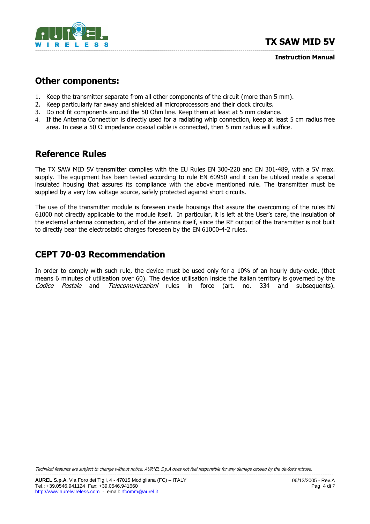

Instruction Manual

#### Other components:

- 1. Keep the transmitter separate from all other components of the circuit (more than 5 mm).
- 2. Keep particularly far away and shielded all microprocessors and their clock circuits.
- 3. Do not fit components around the 50 Ohm line. Keep them at least at 5 mm distance.
- 4. If the Antenna Connection is directly used for a radiating whip connection, keep at least 5 cm radius free area. In case a 50  $\Omega$  impedance coaxial cable is connected, then 5 mm radius will suffice.

### Reference Rules

The TX SAW MID 5V transmitter complies with the EU Rules EN 300-220 and EN 301-489, with a 5V max. supply. The equipment has been tested according to rule EN 60950 and it can be utilized inside a special insulated housing that assures its compliance with the above mentioned rule. The transmitter must be supplied by a very low voltage source, safely protected against short circuits.

The use of the transmitter module is foreseen inside housings that assure the overcoming of the rules EN 61000 not directly applicable to the module itself. In particular, it is left at the User's care, the insulation of the external antenna connection, and of the antenna itself, since the RF output of the transmitter is not built to directly bear the electrostatic charges foreseen by the EN 61000-4-2 rules.

### CEPT 70-03 Recommendation

In order to comply with such rule, the device must be used only for a 10% of an hourly duty-cycle, (that means 6 minutes of utilisation over 60). The device utilisation inside the italian territory is governed by the Codice Postale and Telecomunicazioni rules in force (art. no. 334 and subsequents).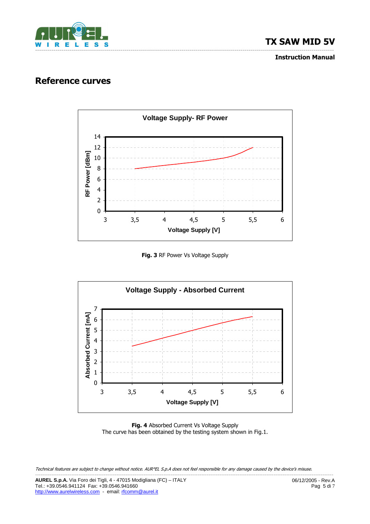

Instruction Manual

#### Reference curves



Fig. 3 RF Power Vs Voltage Supply



Fig. 4 Absorbed Current Vs Voltage Supply The curve has been obtained by the testing system shown in Fig.1.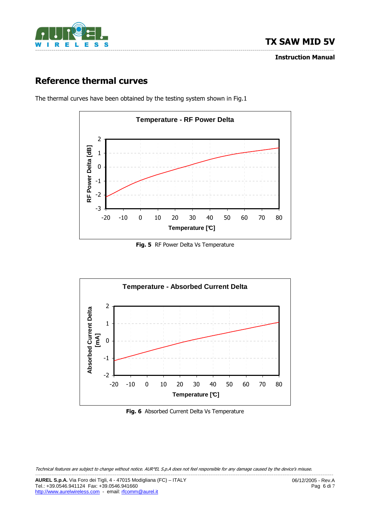

Instruction Manual

# Reference thermal curves

The thermal curves have been obtained by the testing system shown in Fig.1



Fig. 5 RF Power Delta Vs Temperature



Fig. 6 Absorbed Current Delta Vs Temperature